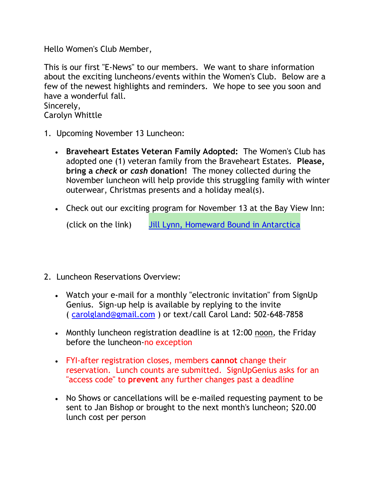Hello Women's Club Member,

This is our first "E-News" to our members. We want to share information about the exciting luncheons/events within the Women's Club. Below are a few of the newest highlights and reminders. We hope to see you soon and have a wonderful fall. Sincerely, Carolyn Whittle

- 1. Upcoming November 13 Luncheon:
	- **Braveheart Estates Veteran Family Adopted:** The Women's Club has adopted one (1) veteran family from the Braveheart Estates. **Please, bring a** *check* **or** *cash* **donation!** The money collected during the November luncheon will help provide this struggling family with winter outerwear, Christmas presents and a holiday meal(s).
	- Check out our exciting program for November 13 at the Bay View Inn:

| (click on the link) | Jill Lynn, Homeward Bound in Antarctica |
|---------------------|-----------------------------------------|
|---------------------|-----------------------------------------|

- 2. Luncheon Reservations Overview:
	- Watch your e-mail for a monthly "electronic invitation" from SignUp Genius. Sign-up help is available by replying to the invite ( carolgland@gmail.com ) or text/call Carol Land: 502-648-7858
	- Monthly luncheon registration deadline is at 12:00 noon*,* the Friday before the luncheon-no exception
	- FYI-after registration closes, members **cannot** change their reservation. Lunch counts are submitted. SignUpGenius asks for an "access code" to **prevent** any further changes past a deadline
	- No Shows or cancellations will be e-mailed requesting payment to be sent to Jan Bishop or brought to the next month's luncheon; \$20.00 lunch cost per person